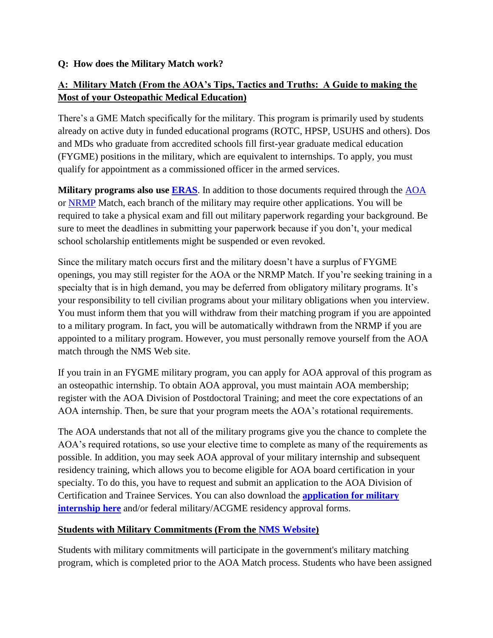## **Q: How does the Military Match work?**

## **A: Military Match (From the AOA's Tips, Tactics and Truths: A Guide to making the Most of your Osteopathic Medical Education)**

There's a GME Match specifically for the military. This program is primarily used by students already on active duty in funded educational programs (ROTC, HPSP, USUHS and others). Dos and MDs who graduate from accredited schools fill first-year graduate medical education (FYGME) positions in the military, which are equivalent to internships. To apply, you must qualify for appointment as a commissioned officer in the armed services.

**Military programs also use <b>ERAS**. In addition to those documents required through the [AOA](http://www.natmatch.com/aoairp/) or [NRMP](http://www.nrmp.org/) Match, each branch of the military may require other applications. You will be required to take a physical exam and fill out military paperwork regarding your background. Be sure to meet the deadlines in submitting your paperwork because if you don't, your medical school scholarship entitlements might be suspended or even revoked.

Since the military match occurs first and the military doesn't have a surplus of FYGME openings, you may still register for the AOA or the NRMP Match. If you're seeking training in a specialty that is in high demand, you may be deferred from obligatory military programs. It's your responsibility to tell civilian programs about your military obligations when you interview. You must inform them that you will withdraw from their matching program if you are appointed to a military program. In fact, you will be automatically withdrawn from the NRMP if you are appointed to a military program. However, you must personally remove yourself from the AOA match through the NMS Web site.

If you train in an FYGME military program, you can apply for AOA approval of this program as an osteopathic internship. To obtain AOA approval, you must maintain AOA membership; register with the AOA Division of Postdoctoral Training; and meet the core expectations of an AOA internship. Then, be sure that your program meets the AOA's rotational requirements.

The AOA understands that not all of the military programs give you the chance to complete the AOA's required rotations, so use your elective time to complete as many of the requirements as possible. In addition, you may seek AOA approval of your military internship and subsequent residency training, which allows you to become eligible for AOA board certification in your specialty. To do this, you have to request and submit an application to the AOA Division of Certification and Trainee Services. You can also download the **[application for military](http://www.do-online.org/pdf/sir_postdocfedmilapp.pdf)  [internship here](http://www.do-online.org/pdf/sir_postdocfedmilapp.pdf)** and/or federal military/ACGME residency approval forms.

## **Students with Military Commitments (From the [NMS Website\)](http://www.natmatch.com/aoairp/)**

Students with military commitments will participate in the government's military matching program, which is completed prior to the AOA Match process. Students who have been assigned